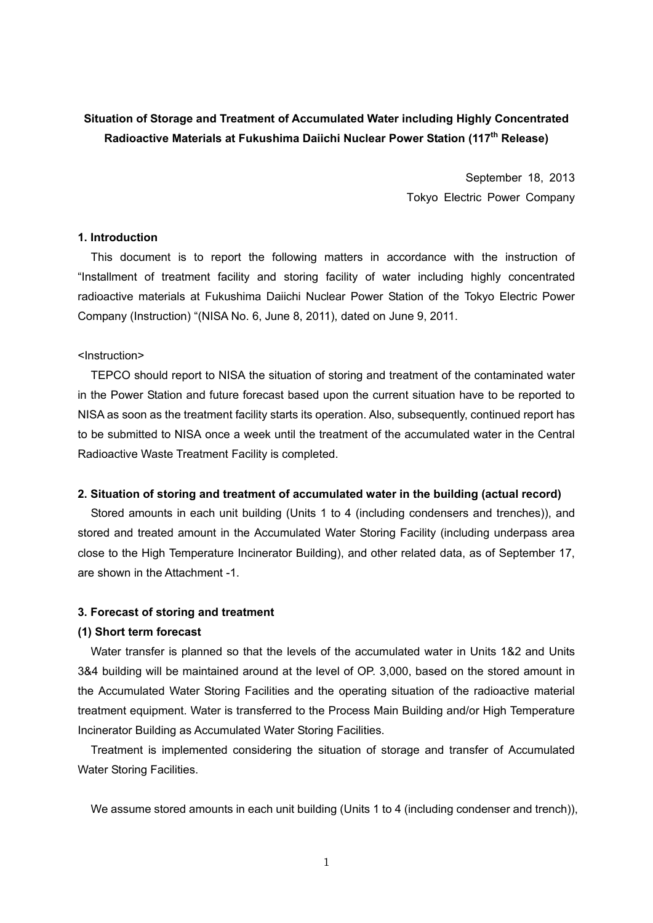## **Situation of Storage and Treatment of Accumulated Water including Highly Concentrated Radioactive Materials at Fukushima Daiichi Nuclear Power Station (117th Release)**

September 18, 2013 Tokyo Electric Power Company

#### **1. Introduction**

This document is to report the following matters in accordance with the instruction of "Installment of treatment facility and storing facility of water including highly concentrated radioactive materials at Fukushima Daiichi Nuclear Power Station of the Tokyo Electric Power Company (Instruction) "(NISA No. 6, June 8, 2011), dated on June 9, 2011.

### <Instruction>

TEPCO should report to NISA the situation of storing and treatment of the contaminated water in the Power Station and future forecast based upon the current situation have to be reported to NISA as soon as the treatment facility starts its operation. Also, subsequently, continued report has to be submitted to NISA once a week until the treatment of the accumulated water in the Central Radioactive Waste Treatment Facility is completed.

#### **2. Situation of storing and treatment of accumulated water in the building (actual record)**

Stored amounts in each unit building (Units 1 to 4 (including condensers and trenches)), and stored and treated amount in the Accumulated Water Storing Facility (including underpass area close to the High Temperature Incinerator Building), and other related data, as of September 17, are shown in the Attachment -1.

#### **3. Forecast of storing and treatment**

#### **(1) Short term forecast**

Water transfer is planned so that the levels of the accumulated water in Units 1&2 and Units 3&4 building will be maintained around at the level of OP. 3,000, based on the stored amount in the Accumulated Water Storing Facilities and the operating situation of the radioactive material treatment equipment. Water is transferred to the Process Main Building and/or High Temperature Incinerator Building as Accumulated Water Storing Facilities.

Treatment is implemented considering the situation of storage and transfer of Accumulated Water Storing Facilities.

We assume stored amounts in each unit building (Units 1 to 4 (including condenser and trench)),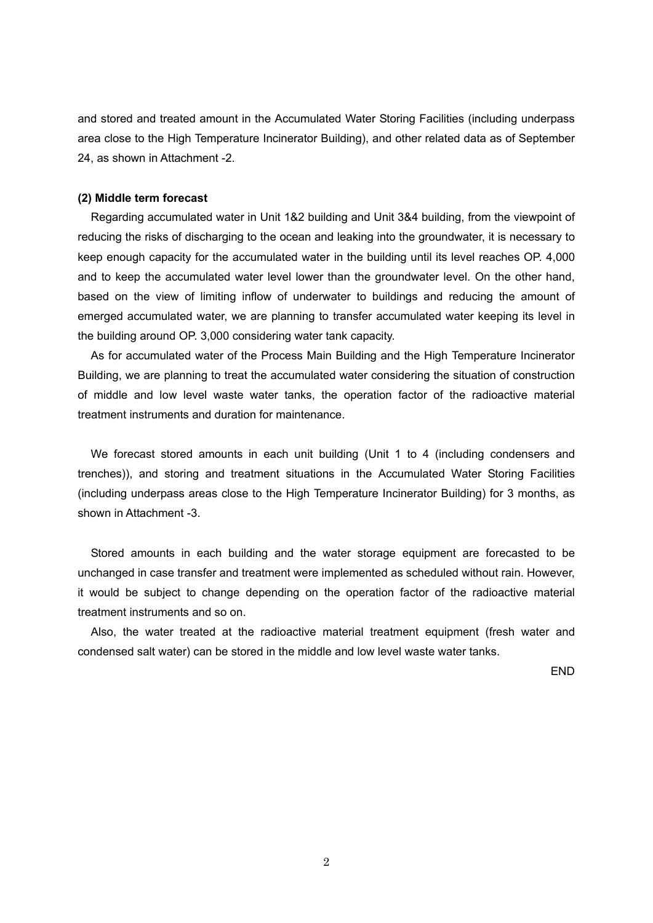and stored and treated amount in the Accumulated Water Storing Facilities (including underpass area close to the High Temperature Incinerator Building), and other related data as of September 24, as shown in Attachment -2.

#### **(2) Middle term forecast**

Regarding accumulated water in Unit 1&2 building and Unit 3&4 building, from the viewpoint of reducing the risks of discharging to the ocean and leaking into the groundwater, it is necessary to keep enough capacity for the accumulated water in the building until its level reaches OP. 4,000 and to keep the accumulated water level lower than the groundwater level. On the other hand, based on the view of limiting inflow of underwater to buildings and reducing the amount of emerged accumulated water, we are planning to transfer accumulated water keeping its level in the building around OP. 3,000 considering water tank capacity.

As for accumulated water of the Process Main Building and the High Temperature Incinerator Building, we are planning to treat the accumulated water considering the situation of construction of middle and low level waste water tanks, the operation factor of the radioactive material treatment instruments and duration for maintenance.

We forecast stored amounts in each unit building (Unit 1 to 4 (including condensers and trenches)), and storing and treatment situations in the Accumulated Water Storing Facilities (including underpass areas close to the High Temperature Incinerator Building) for 3 months, as shown in Attachment -3.

Stored amounts in each building and the water storage equipment are forecasted to be unchanged in case transfer and treatment were implemented as scheduled without rain. However, it would be subject to change depending on the operation factor of the radioactive material treatment instruments and so on.

Also, the water treated at the radioactive material treatment equipment (fresh water and condensed salt water) can be stored in the middle and low level waste water tanks.

END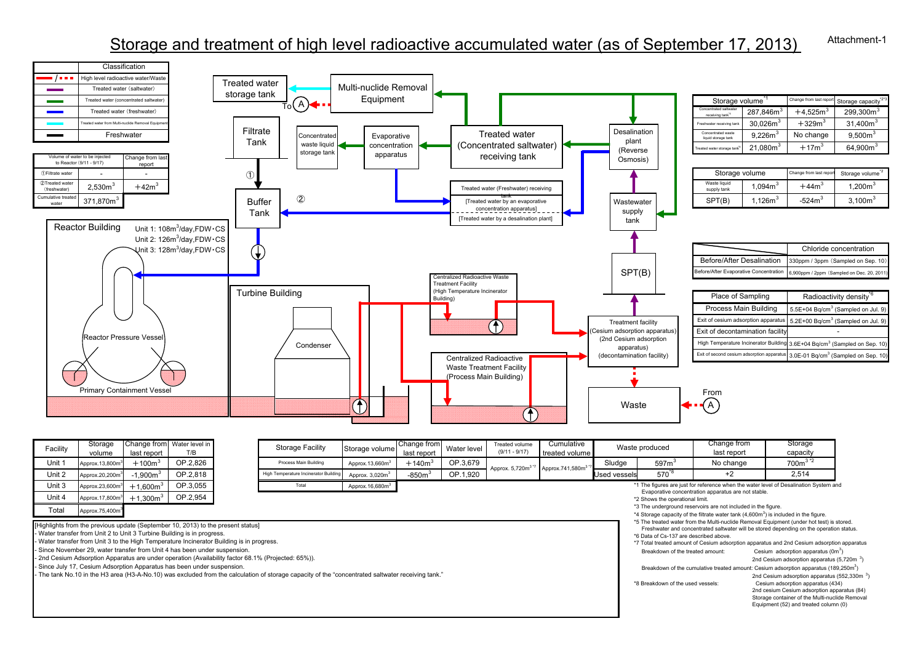#### Attachment-1Storage and treatment of high level radioactive accumulated water (as of September 17, 2013)



| Facility                                                                                  | Storage                     |                        | Change from Water level in |  | <b>Storage Facility</b>               | Storage volume              | Change from | Water level | Treated volume<br>$(9/11 - 9/17)$ | Cumulative                   | Waste produced                                                                       |                                                                                                                                                                                     | Change from                                                                           | Storage             |  |  |  |  |
|-------------------------------------------------------------------------------------------|-----------------------------|------------------------|----------------------------|--|---------------------------------------|-----------------------------|-------------|-------------|-----------------------------------|------------------------------|--------------------------------------------------------------------------------------|-------------------------------------------------------------------------------------------------------------------------------------------------------------------------------------|---------------------------------------------------------------------------------------|---------------------|--|--|--|--|
| volume                                                                                    | last report                 | T/B                    |                            |  |                                       | last report                 |             |             | treated volume                    |                              |                                                                                      | last report                                                                                                                                                                         | capacity                                                                              |                     |  |  |  |  |
| Unit 1                                                                                    | Approx.13,800m              | $+100\mathrm{m}^3$     | OP.2.826                   |  | Process Main Building                 | Approx.13,660m <sup>3</sup> | $+140m^3$   | OP.3,679    | Approx. 5,720m <sup>3 *7</sup>    | Approx.741,580m <sup>3</sup> | Sludge                                                                               | 597 <sup>3</sup>                                                                                                                                                                    | No change                                                                             | $7003$ <sup>2</sup> |  |  |  |  |
| Unit 2                                                                                    | Approx.20,200m              | $-1.900m3$             | OP.2.818                   |  | High Temperature Incinerator Building | Approx. 3,020m <sup>3</sup> | $-850m3$    | OP.1.920    |                                   |                              | Used vessels                                                                         | 570.8                                                                                                                                                                               | $+2$                                                                                  | 2,514               |  |  |  |  |
| Unit 3                                                                                    | Approx.23,600m <sup>3</sup> | $+1.600m^{3}$          | OP.3.055                   |  | Total                                 | Approx.16,680m <sup>3</sup> |             |             |                                   |                              |                                                                                      | *1 The figures are just for reference when the water level of Desalination System and<br>Evaporative concentration apparatus are not stable.                                        |                                                                                       |                     |  |  |  |  |
| Unit 4                                                                                    | Approx.17,800m <sup>3</sup> | OP.2,954<br>$+1.300m3$ |                            |  |                                       |                             |             |             |                                   |                              |                                                                                      | *2 Shows the operational limit.                                                                                                                                                     |                                                                                       |                     |  |  |  |  |
| Total                                                                                     | Approx.75,400m <sup>3</sup> |                        |                            |  |                                       |                             |             |             |                                   |                              |                                                                                      |                                                                                                                                                                                     | *3 The underground reservoirs are not included in the figure.                         |                     |  |  |  |  |
|                                                                                           |                             |                        |                            |  |                                       |                             |             |             |                                   |                              |                                                                                      |                                                                                                                                                                                     | *4 Storage capacity of the filtrate water tank $(4,600m3)$ is included in the figure. |                     |  |  |  |  |
| [Highlights from the previous update (September 10, 2013) to the present status]          |                             |                        |                            |  |                                       |                             |             |             |                                   |                              |                                                                                      | *5 The treated water from the Multi-nuclide Removal Equipment (under hot test) is stored<br>Freshwater and concentrated saltwater will be stored depending on the operation stature |                                                                                       |                     |  |  |  |  |
| - Water transfer from Unit 2 to Unit 3 Turbine Building is in progress.                   |                             |                        |                            |  |                                       |                             |             |             |                                   |                              | *6 Data of Cs-137 are described above.                                               |                                                                                                                                                                                     |                                                                                       |                     |  |  |  |  |
| - Water transfer from Unit 3 to the High Temperature Incinerator Building is in progress. |                             |                        |                            |  |                                       |                             |             |             |                                   |                              | *7 Total treated amount of Cesium adsorption apparatus and 2nd Cesium adsorption app |                                                                                                                                                                                     |                                                                                       |                     |  |  |  |  |
| - Since November 29, water transfer from Unit 4 has been under suspension.                |                             |                        |                            |  |                                       |                             |             |             |                                   |                              | Cesium adsorption apparatus (0m <sup>3</sup> )<br>Breakdown of the treated amount:   |                                                                                                                                                                                     |                                                                                       |                     |  |  |  |  |

- 2nd Cesium Adsorption Apparatus are under operation (Availability factor 68.1% (Projected: 65%)).

- Since July 17, Cesium Adsorption Apparatus has been under suspension.

- The tank No.10 in the H3 area (H3-A-No.10) was excluded from the calculation of storage capacity of the "concentrated saltwater receiving tank."

\*7 Total treated amount of Cesium adsorption apparatus and 2nd Cesium adsorption apparatus Breakdown of the treated amount: Cesium adsorption apparatus  $(0m^3)$ 

2nd Cesium adsorption apparatus  $(5.720m<sup>3</sup>)$ 

Breakdown of the cumulative treated amount: Cesium adsorption apparatus (189,250m<sup>3</sup>)

2nd Cesium adsorption apparatus (552,330m<sup>3</sup>)<br>
<sup>2</sup>B Breakdown of the used vessels: Cesium adsorption apparatus (434) Cesium adsorption apparatus (434) 2nd cesium Cesium adsorption apparatus (84) Storage container of the Multi-nuclide Removal Equipment (52) and treated column (0)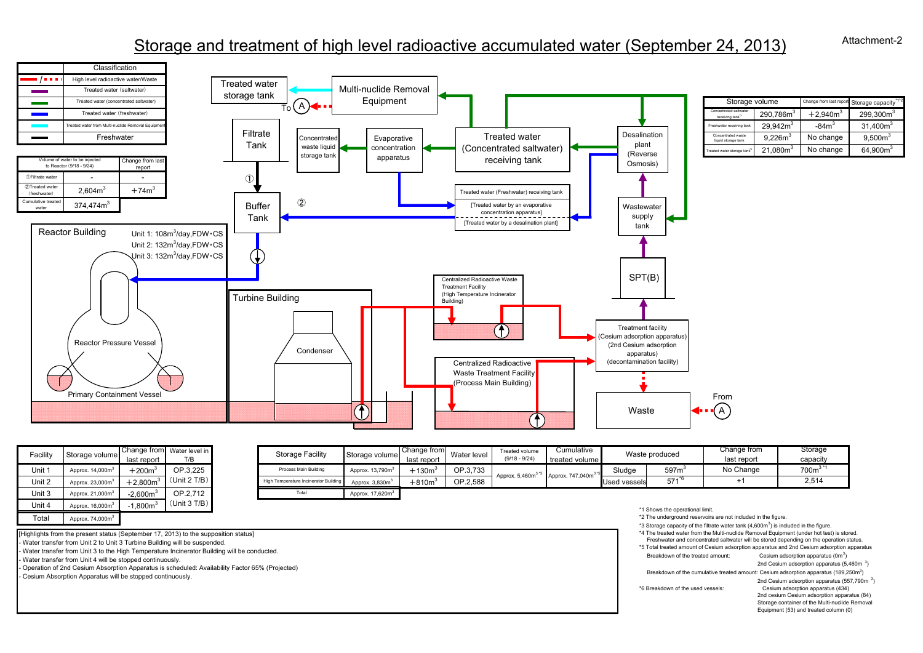# Storage and treatment of high level radioactive accumulated water (September 24, 2013)



| Facility | Storage volume               | Change from<br>last report | Water level in<br>T/B | <b>Storage Facility</b>               | Storage volum                |
|----------|------------------------------|----------------------------|-----------------------|---------------------------------------|------------------------------|
| Unit 1   | Approx. 14,000m <sup>3</sup> | $+2003$                    | OP.3.225              | Process Main Building                 | Approx. 13,790m <sup>3</sup> |
| Unit 2   | Approx. 23,000m <sup>3</sup> | $+2.800m^3$                | (Unit 2 T/B)          | High Temperature Incinerator Building | Approx. 3,830m <sup>3</sup>  |
| Unit 3   | Approx. 21,000m <sup>3</sup> | $-2.600m3$                 | OP.2.712              | Total                                 | Approx. 17,620m <sup>3</sup> |
| Unit 4   | Approx. 16,000m <sup>3</sup> | $-1.800m3$                 | (Unit 3 T/B)          |                                       |                              |
| Total    | Approx. 74,000m <sup>3</sup> |                            |                       |                                       |                              |

| acility | Storage volume    | Change from Water level in<br>last report | T/B                      | <b>Storage Facility</b> | Storage volume                        | last report                 | <b>Change from</b> Water level <b>I</b> | <b>Treated volume</b><br>$(9/18 - 9/24)$ | Cumulative<br>treated volume  |        | Waste produced    | Change from<br>last report | Storage<br>capacity |
|---------|-------------------|-------------------------------------------|--------------------------|-------------------------|---------------------------------------|-----------------------------|-----------------------------------------|------------------------------------------|-------------------------------|--------|-------------------|----------------------------|---------------------|
| Unit 1  | Approx. 14,000m   | $+2002$                                   | OP.3.225<br>(Unit 2 T/B) | Process Main Building   | Approx. 13,790m                       | $+1303$                     | OP.3.733                                | Approx. 5,460m <sup>3</sup>              | Approx. 747,040m <sup>3</sup> | Sludge | 597m <sup>3</sup> | No Change                  | 700 <sup>3</sup>    |
| Unit 2  | Approx, 23,000m   | $-2.800$ m $^3$                           |                          |                         | High Temperature Incinerator Building | Approx. 3,830m <sup>3</sup> | $+8103$                                 | OP.2.588                                 |                               |        | Used vessels      | 571                        |                     |
| Unit 3  | Approx. $21.000m$ | $-2.600m3$                                | OP.2.712                 | Total                   | Approx, 17,620m <sup>3</sup>          |                             |                                         |                                          |                               |        |                   |                            |                     |

[Highlights from the present status (September 17, 2013) to the supposition status]

- Water transfer from Unit 2 to Unit 3 Turbine Building will be suspended.

- Water transfer from Unit 3 to the High Temperature Incinerator Building will be conducted.

- Water transfer from Unit 4 will be stopped continuously.

- Operation of 2nd Cesium Absorption Apparatus is scheduled: Availability Factor 65% (Projected) - Cesium Absorption Apparatus will be stopped continuously.

\*1 Shows the operational limit.

\*2 The underground reservoirs are not included in the figure.

\*3 Storage capacity of the filtrate water tank  $(4,600m<sup>3</sup>)$  is included in the figure. \*4 The treated water from the Multi-nuclide Removal Equipment (under hot test) is stored. Freshwater and concentrated saltwater will be stored depending on the operation status.

\*5 Total treated amount of Cesium adsorption apparatus and 2nd Cesium adsorption apparatus Breakdown of the treated amount: Cesium adsorption apparatus (0m<sup>3</sup>)

2nd Cesium adsorption apparatus  $(5.460m<sup>3</sup>)$ 

Breakdown of the cumulative treated amount: Cesium adsorption apparatus (189,250m<sup>3</sup>)

2nd Cesium adsorption apparatus (557,790m <sup>3</sup>) \*6 Breakdown of the used vessels: Cesium adsorption apparatus (434) 2nd cesium Cesium adsorption apparatus (84) Storage container of the Multi-nuclide Removal Equipment (53) and treated column (0)

Attachment-2